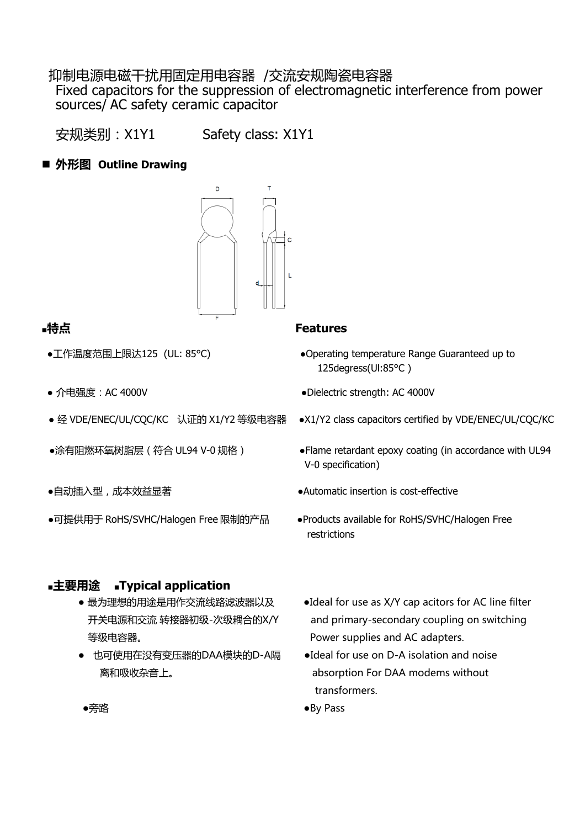#### 抑制电源电磁干扰用固定用电容器 /交流安规陶瓷电容器

Fixed capacitors for the suppression of electromagnetic interference from power sources/ AC safety ceramic capacitor

安规类别:X1Y1 Safety class: X1Y1

#### ■ 外形图 Outline Drawing



- 
- 
- 
- 
- 
- ●可提供用于 RoHS/SVHC/Halogen Free 限制的产品 ●Products available for RoHS/SVHC/Halogen Free

#### **■主要用途 ■Typical application**

- 等级电容器。 Power supplies and AC adapters.
- 也可使用在没有变压器的DAA模块的D-A隔→ DIdeal for use on D-A isolation and noise 离和吸收杂音上。 absorption For DAA modems without

#### **■特点 Features**

- ●工作温度范围上限达125 (UL: 85°C)  ●Operating temperature Range Guaranteed up to 125degress(Ul:85°C )
- 介电强度:AC 4000V ●Dielectric strength: AC 4000V
- 经 VDE/ENEC/UL/CQC/KC 认证的 X1/Y2 等级电容器 ●X1/Y2 class capacitors certified by VDE/ENEC/UL/CQC/KC
- ●涂有阻燃环氧树脂层 (符合 UL94 V-0 规格) → ●Flame retardant epoxy coating (in accordance with UL94 V-0 specification)
- ●自动插入型,成本效益显著 → → → → → → → → Automatic insertion is cost-effective
	- restrictions
	- 最为理想的用途是用作交流线路滤波器以及 → ●Ideal for use as X/Y cap acitors for AC line filter 开关电源和交流 转接器初级-次级耦合的X/Y and primary-secondary coupling on switching
		- transformers.
	- ●旁路 ●By Pass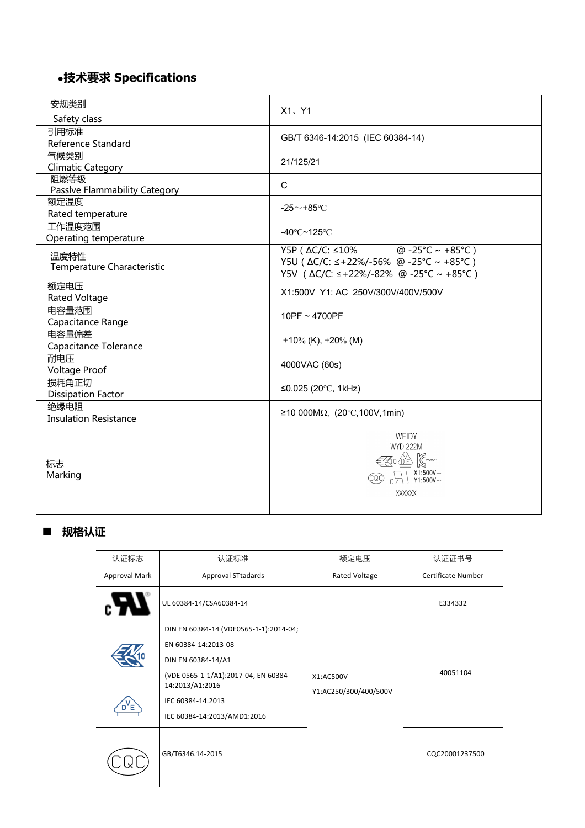# ●**技术要求 Specifications**

| 安规类别                                  | X1、Y1                                                                                                                                               |
|---------------------------------------|-----------------------------------------------------------------------------------------------------------------------------------------------------|
| Safety class                          |                                                                                                                                                     |
| 引用标准<br>Reference Standard            | GB/T 6346-14:2015 (IEC 60384-14)                                                                                                                    |
| 气候类别<br><b>Climatic Category</b>      | 21/125/21                                                                                                                                           |
| 阻燃等级<br>Passlve Flammability Category | $\mathsf{C}$                                                                                                                                        |
| 额定温度<br>Rated temperature             | -25 $\sim$ +85°C                                                                                                                                    |
| 工作温度范围<br>Operating temperature       | -40 $\degree$ C~125 $\degree$ C                                                                                                                     |
| 温度特性<br>Temperature Characteristic    | Y5P (ΔC/C: ≤10% @ -25°C ~ +85°C)<br>Y5U ( $\Delta$ C/C: $\le$ +22%/-56% @ -25°C ~ +85°C)<br>Y5V ( ∆C/C: ≤+22%/-82% @ -25°C ~ +85°C )                |
| 额定电压<br>Rated Voltage                 | X1:500V Y1: AC 250V/300V/400V/500V                                                                                                                  |
| 电容量范围<br>Capacitance Range            | 10PF $\sim$ 4700PF                                                                                                                                  |
| 电容量偏差<br>Capacitance Tolerance        | $\pm 10\%$ (K), $\pm 20\%$ (M)                                                                                                                      |
| 耐电压<br><b>Voltage Proof</b>           | 4000VAC (60s)                                                                                                                                       |
| 损耗角正切<br><b>Dissipation Factor</b>    | ≤0.025 (20°C, 1kHz)                                                                                                                                 |
| 绝缘电阻<br><b>Insulation Resistance</b>  | ≥10 000MΩ, (20°C,100V,1min)                                                                                                                         |
| 标志<br>Marking                         | <b>WEIDY</b><br><b>WYD 222M</b><br>$\lll$ 0 0 $\log$<br>$\begin{array}{c} \times 1:500V \sim \\ Y1:500V \sim \end{array}$<br>(CQC)<br><b>XXXXXX</b> |

## ■ **规格认证**

| 认证标志          | 认证标准                                                    | 额定电压                               | 认证证书号              |  |
|---------------|---------------------------------------------------------|------------------------------------|--------------------|--|
| Approval Mark | <b>Approval STtadards</b>                               | Rated Voltage                      | Certificate Number |  |
|               | UL 60384-14/CSA60384-14                                 |                                    | E334332            |  |
|               | DIN EN 60384-14 (VDE0565-1-1):2014-04;                  |                                    |                    |  |
|               | EN 60384-14:2013-08                                     |                                    | 40051104           |  |
|               | DIN EN 60384-14/A1                                      |                                    |                    |  |
|               | (VDE 0565-1-1/A1):2017-04; EN 60384-<br>14:2013/A1:2016 | X1:AC500V<br>Y1:AC250/300/400/500V |                    |  |
|               | IEC 60384-14:2013                                       |                                    |                    |  |
|               | IEC 60384-14:2013/AMD1:2016                             |                                    |                    |  |
|               | GB/T6346.14-2015                                        |                                    | CQC20001237500     |  |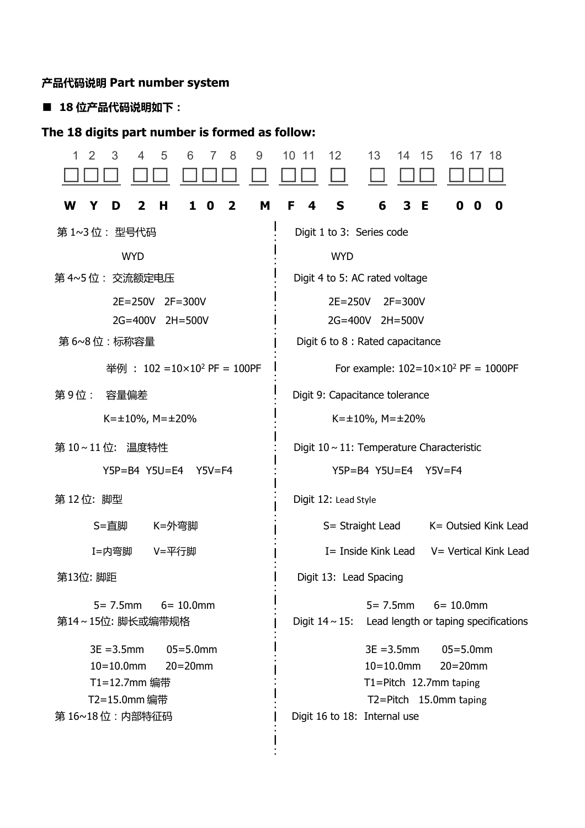## **产品代码说明 Part number system**

# ■ **18 位产品代码说明如下:**

# **The 18 digits part number is formed as follow:**

| 3<br>5<br>9<br>1<br>2<br>4<br>6<br>8                                                                            | 10 11<br>12<br>13<br>15<br>14<br>16 17<br>18                                                                                                       |  |  |  |  |
|-----------------------------------------------------------------------------------------------------------------|----------------------------------------------------------------------------------------------------------------------------------------------------|--|--|--|--|
| н<br>M<br>W<br>2<br>1<br>$\bf{0}$<br>$\mathbf{2}$<br>Y<br>D                                                     | S<br>F<br>6<br>3<br>Е<br>0<br>4<br>0<br>0                                                                                                          |  |  |  |  |
| 第 1~3 位: 型 <del>号</del> 代码                                                                                      | Digit 1 to 3: Series code                                                                                                                          |  |  |  |  |
| <b>WYD</b>                                                                                                      | <b>WYD</b>                                                                                                                                         |  |  |  |  |
| 第 4~5 位: 交流额定电压                                                                                                 | Digit 4 to 5: AC rated voltage                                                                                                                     |  |  |  |  |
| $2E = 250V$<br>$2F = 300V$                                                                                      | $2E = 250V$<br>$2F = 300V$                                                                                                                         |  |  |  |  |
| 2G=400V<br>$2H = 500V$                                                                                          | 2G=400V<br>$2H = 500V$                                                                                                                             |  |  |  |  |
| 第6~8位:标称容量                                                                                                      | Digit 6 to 8 : Rated capacitance                                                                                                                   |  |  |  |  |
| 举例: $102 = 10 \times 10^2$ PF = 100PF                                                                           | For example: $102 = 10 \times 10^2$ PF = 1000PF                                                                                                    |  |  |  |  |
| 第9位:<br>容量偏差                                                                                                    | Digit 9: Capacitance tolerance                                                                                                                     |  |  |  |  |
| $K=\pm 10\%$ , M= $\pm 20\%$                                                                                    | $K = \pm 10\%$ , M= $\pm 20\%$                                                                                                                     |  |  |  |  |
| 第10~11位: 温度特性                                                                                                   | Digit $10 \sim 11$ : Temperature Characteristic                                                                                                    |  |  |  |  |
| Y5P=B4 Y5U=E4 Y5V=F4                                                                                            | Y5P=B4 Y5U=E4 Y5V=F4                                                                                                                               |  |  |  |  |
| 第12位: 脚型                                                                                                        | Digit 12: Lead Style                                                                                                                               |  |  |  |  |
| S=直脚<br>K=外弯脚                                                                                                   | K= Outsied Kink Lead<br>S= Straight Lead                                                                                                           |  |  |  |  |
| I=内弯脚<br>V=平行脚                                                                                                  | I= Inside Kink Lead<br>V = Vertical Kink Lead                                                                                                      |  |  |  |  |
| 第13位: 脚距                                                                                                        | Digit 13: Lead Spacing                                                                                                                             |  |  |  |  |
| $5 = 7.5$ mm<br>$6 = 10.0$ mm<br>第14~15位: 脚长或编带规格                                                               | $5 = 7.5$ mm<br>$6 = 10.0$ mm<br>Digit $14 \sim 15$ : Lead length or taping specifications                                                         |  |  |  |  |
| $3E = 3.5$ mm<br>$05 = 5.0$ mm<br>$10 = 10.0$ mm<br>$20=20$ mm<br>T1=12.7mm 编带<br>T2=15.0mm 编带<br>第16~18位:内部特征码 | $3E = 3.5$ mm<br>$05 = 5.0$ mm<br>$10 = 10.0$ mm<br>$20=20$ mm<br>T1=Pitch 12.7mm taping<br>T2=Pitch 15.0mm taping<br>Digit 16 to 18: Internal use |  |  |  |  |
|                                                                                                                 |                                                                                                                                                    |  |  |  |  |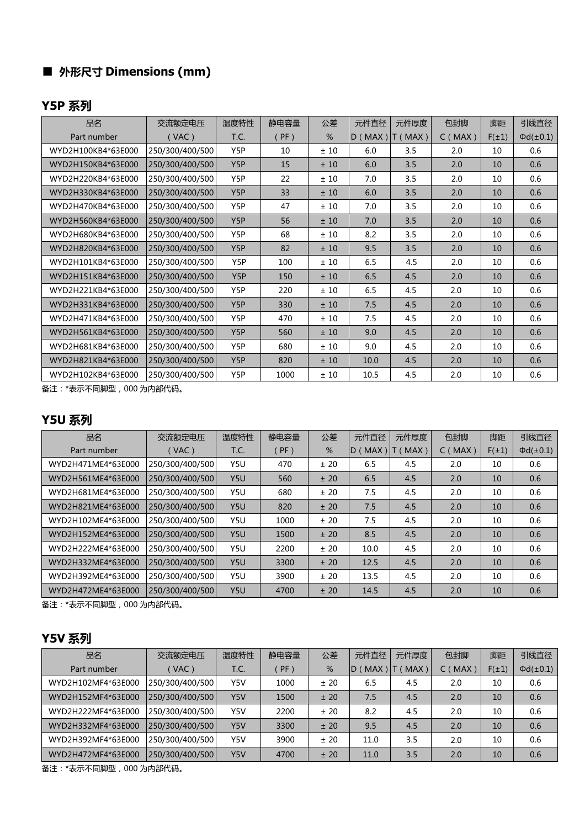# ■ **外形尺寸 Dimensions (mm)**

## **Y5P 系列**

| 品名                 | 交流额定电压          | 温度特性             | 静电容量    | 公差  | 元件直径                | 元件厚度 | 包封脚           | 脚距         | 引线直径              |
|--------------------|-----------------|------------------|---------|-----|---------------------|------|---------------|------------|-------------------|
| Part number        | (VAC)           | T.C.             | $($ PF) | %   | $D (MAX)$ $T (MAX)$ |      | $C$ ( $MAX$ ) | $F(\pm 1)$ | $\Phi d(\pm 0.1)$ |
| WYD2H100KB4*63E000 | 250/300/400/500 | Y5P              | 10      | ±10 | 6.0                 | 3.5  | 2.0           | 10         | 0.6               |
| WYD2H150KB4*63E000 | 250/300/400/500 | Y5P              | 15      | ±10 | 6.0                 | 3.5  | 2.0           | 10         | 0.6               |
| WYD2H220KB4*63E000 | 250/300/400/500 | Y5P              | 22      | ±10 | 7.0                 | 3.5  | 2.0           | 10         | 0.6               |
| WYD2H330KB4*63E000 | 250/300/400/500 | Y5P              | 33      | ±10 | 6.0                 | 3.5  | 2.0           | 10         | 0.6               |
| WYD2H470KB4*63E000 | 250/300/400/500 | Y5P              | 47      | ±10 | 7.0                 | 3.5  | 2.0           | 10         | 0.6               |
| WYD2H560KB4*63E000 | 250/300/400/500 | Y5P              | 56      | ±10 | 7.0                 | 3.5  | 2.0           | 10         | 0.6               |
| WYD2H680KB4*63E000 | 250/300/400/500 | Y5P              | 68      | ±10 | 8.2                 | 3.5  | 2.0           | 10         | 0.6               |
| WYD2H820KB4*63E000 | 250/300/400/500 | Y <sub>5</sub> P | 82      | ±10 | 9.5                 | 3.5  | 2.0           | 10         | 0.6               |
| WYD2H101KB4*63E000 | 250/300/400/500 | Y5P              | 100     | ±10 | 6.5                 | 4.5  | 2.0           | 10         | 0.6               |
| WYD2H151KB4*63E000 | 250/300/400/500 | Y5P              | 150     | ±10 | 6.5                 | 4.5  | 2.0           | 10         | 0.6               |
| WYD2H221KB4*63E000 | 250/300/400/500 | Y5P              | 220     | ±10 | 6.5                 | 4.5  | 2.0           | 10         | 0.6               |
| WYD2H331KB4*63E000 | 250/300/400/500 | Y5P              | 330     | ±10 | 7.5                 | 4.5  | 2.0           | 10         | 0.6               |
| WYD2H471KB4*63E000 | 250/300/400/500 | Y5P              | 470     | ±10 | 7.5                 | 4.5  | 2.0           | 10         | 0.6               |
| WYD2H561KB4*63E000 | 250/300/400/500 | Y <sub>5</sub> P | 560     | ±10 | 9.0                 | 4.5  | 2.0           | 10         | 0.6               |
| WYD2H681KB4*63E000 | 250/300/400/500 | Y5P              | 680     | ±10 | 9.0                 | 4.5  | 2.0           | 10         | 0.6               |
| WYD2H821KB4*63E000 | 250/300/400/500 | Y5P              | 820     | ±10 | 10.0                | 4.5  | 2.0           | 10         | 0.6               |
| WYD2H102KB4*63E000 | 250/300/400/500 | Y5P              | 1000    | ±10 | 10.5                | 4.5  | 2.0           | 10         | 0.6               |

备注:\*表示不同脚型,000 为内部代码。

## **Y5U 系列**

| 品名                 | 交流额定电压          | 温度特性 | 静电容量   | 公差   | 元件直径           | 元件厚度    | 包封脚           | 脚距         | 引线直径              |
|--------------------|-----------------|------|--------|------|----------------|---------|---------------|------------|-------------------|
| Part number        | (VAC)           | T.C. | $PF$ ) | %    | $ID$ ( $MAX$ ) | IT(MAX) | $C$ ( $MAX$ ) | $F(\pm 1)$ | $\Phi d(\pm 0.1)$ |
| WYD2H471ME4*63E000 | 250/300/400/500 | Y5U  | 470    | ± 20 | 6.5            | 4.5     | 2.0           | 10         | 0.6               |
| WYD2H561ME4*63E000 | 250/300/400/500 | Y5U  | 560    | ± 20 | 6.5            | 4.5     | 2.0           | 10         | 0.6               |
| WYD2H681ME4*63E000 | 250/300/400/500 | Y5U  | 680    | ± 20 | 7.5            | 4.5     | 2.0           | 10         | 0.6               |
| WYD2H821ME4*63E000 | 250/300/400/500 | Y5U  | 820    | ± 20 | 7.5            | 4.5     | 2.0           | 10         | 0.6               |
| WYD2H102ME4*63E000 | 250/300/400/500 | Y5U  | 1000   | ± 20 | 7.5            | 4.5     | 2.0           | 10         | 0.6               |
| WYD2H152ME4*63E000 | 250/300/400/500 | Y5U  | 1500   | ± 20 | 8.5            | 4.5     | 2.0           | 10         | 0.6               |
| WYD2H222ME4*63E000 | 250/300/400/500 | Y5U  | 2200   | ± 20 | 10.0           | 4.5     | 2.0           | 10         | 0.6               |
| WYD2H332ME4*63E000 | 250/300/400/500 | Y5U  | 3300   | ± 20 | 12.5           | 4.5     | 2.0           | 10         | 0.6               |
| WYD2H392ME4*63E000 | 250/300/400/500 | Y5U  | 3900   | ± 20 | 13.5           | 4.5     | 2.0           | 10         | 0.6               |
| WYD2H472ME4*63E000 | 250/300/400/500 | Y5U  | 4700   | ± 20 | 14.5           | 4.5     | 2.0           | 10         | 0.6               |

备注:\*表示不同脚型,000 为内部代码。

## **Y5V 系列**

| 品名                 | 交流额定电压          | 温度特性 | 静电容量   | 公差   | 元件直径             | 元件厚度       | 包封脚          | 脚距         | 引线直径              |
|--------------------|-----------------|------|--------|------|------------------|------------|--------------|------------|-------------------|
| Part number        | VAC)            | T.C. | $PF$ ) | %    | <b>MAX</b><br>ID | <b>MAX</b> | (MAX)<br>C ( | $F(\pm 1)$ | $\Phi d(\pm 0.1)$ |
| WYD2H102MF4*63E000 | 250/300/400/500 | Y5V  | 1000   | ±20  | 6.5              | 4.5        | 2.0          | 10         | 0.6               |
| WYD2H152MF4*63E000 | 250/300/400/500 | Y5V  | 1500   | ± 20 | 7.5              | 4.5        | 2.0          | 10         | 0.6               |
| WYD2H222MF4*63E000 | 250/300/400/500 | Y5V  | 2200   | ± 20 | 8.2              | 4.5        | 2.0          | 10         | 0.6               |
| WYD2H332MF4*63E000 | 250/300/400/500 | Y5V  | 3300   | ± 20 | 9.5              | 4.5        | 2.0          | 10         | 0.6               |
| WYD2H392MF4*63E000 | 250/300/400/500 | Y5V  | 3900   | ±20  | 11.0             | 3.5        | 2.0          | 10         | 0.6               |
| WYD2H472MF4*63E000 | 250/300/400/500 | Y5V  | 4700   | ± 20 | 11.0             | 3.5        | 2.0          | 10         | 0.6               |

备注:\*表示不同脚型,000 为内部代码。